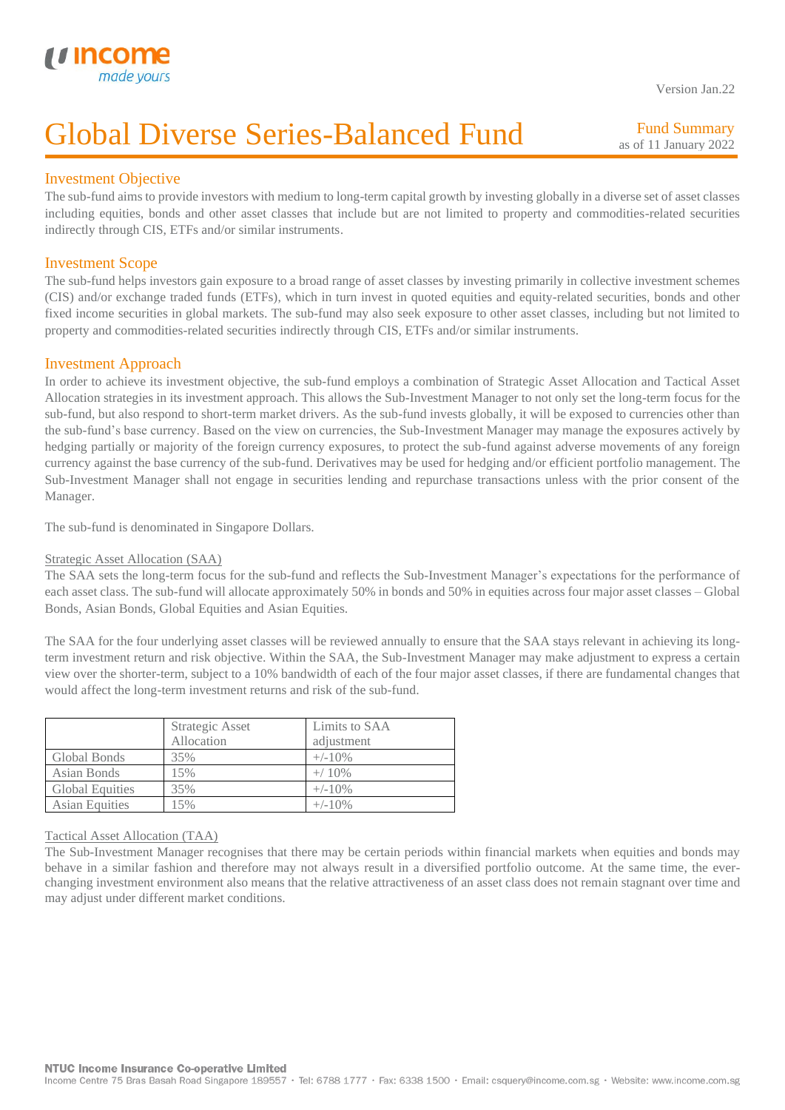

Version Jan.22

## Global Diverse Series-Balanced Fund

Fund Summary as of 11 January 2022

## Investment Objective

I

The sub-fund aims to provide investors with medium to long-term capital growth by investing globally in a diverse set of asset classes including equities, bonds and other asset classes that include but are not limited to property and commodities-related securities indirectly through CIS, ETFs and/or similar instruments.

## Investment Scope

The sub-fund helps investors gain exposure to a broad range of asset classes by investing primarily in collective investment schemes (CIS) and/or exchange traded funds (ETFs), which in turn invest in quoted equities and equity-related securities, bonds and other fixed income securities in global markets. The sub-fund may also seek exposure to other asset classes, including but not limited to property and commodities-related securities indirectly through CIS, ETFs and/or similar instruments.

## Investment Approach

In order to achieve its investment objective, the sub-fund employs a combination of Strategic Asset Allocation and Tactical Asset Allocation strategies in its investment approach. This allows the Sub-Investment Manager to not only set the long-term focus for the sub-fund, but also respond to short-term market drivers. As the sub-fund invests globally, it will be exposed to currencies other than the sub-fund's base currency. Based on the view on currencies, the Sub-Investment Manager may manage the exposures actively by hedging partially or majority of the foreign currency exposures, to protect the sub-fund against adverse movements of any foreign currency against the base currency of the sub-fund. Derivatives may be used for hedging and/or efficient portfolio management. The Sub-Investment Manager shall not engage in securities lending and repurchase transactions unless with the prior consent of the Manager.

The sub-fund is denominated in Singapore Dollars.

### Strategic Asset Allocation (SAA)

The SAA sets the long-term focus for the sub-fund and reflects the Sub-Investment Manager's expectations for the performance of each asset class. The sub-fund will allocate approximately 50% in bonds and 50% in equities across four major asset classes – Global Bonds, Asian Bonds, Global Equities and Asian Equities.

The SAA for the four underlying asset classes will be reviewed annually to ensure that the SAA stays relevant in achieving its longterm investment return and risk objective. Within the SAA, the Sub-Investment Manager may make adjustment to express a certain view over the shorter-term, subject to a 10% bandwidth of each of the four major asset classes, if there are fundamental changes that would affect the long-term investment returns and risk of the sub-fund.

|                        | Strategic Asset<br>Allocation | Limits to SAA<br>adjustment |
|------------------------|-------------------------------|-----------------------------|
| Global Bonds           | 35%                           | $+/-10\%$                   |
| Asian Bonds            | 15%                           | $+/ 10\%$                   |
| <b>Global Equities</b> | 35%                           | $+/-10\%$                   |
| <b>Asian Equities</b>  | 5%                            | $+/-10\%$                   |

#### Tactical Asset Allocation (TAA)

The Sub-Investment Manager recognises that there may be certain periods within financial markets when equities and bonds may behave in a similar fashion and therefore may not always result in a diversified portfolio outcome. At the same time, the everchanging investment environment also means that the relative attractiveness of an asset class does not remain stagnant over time and may adjust under different market conditions.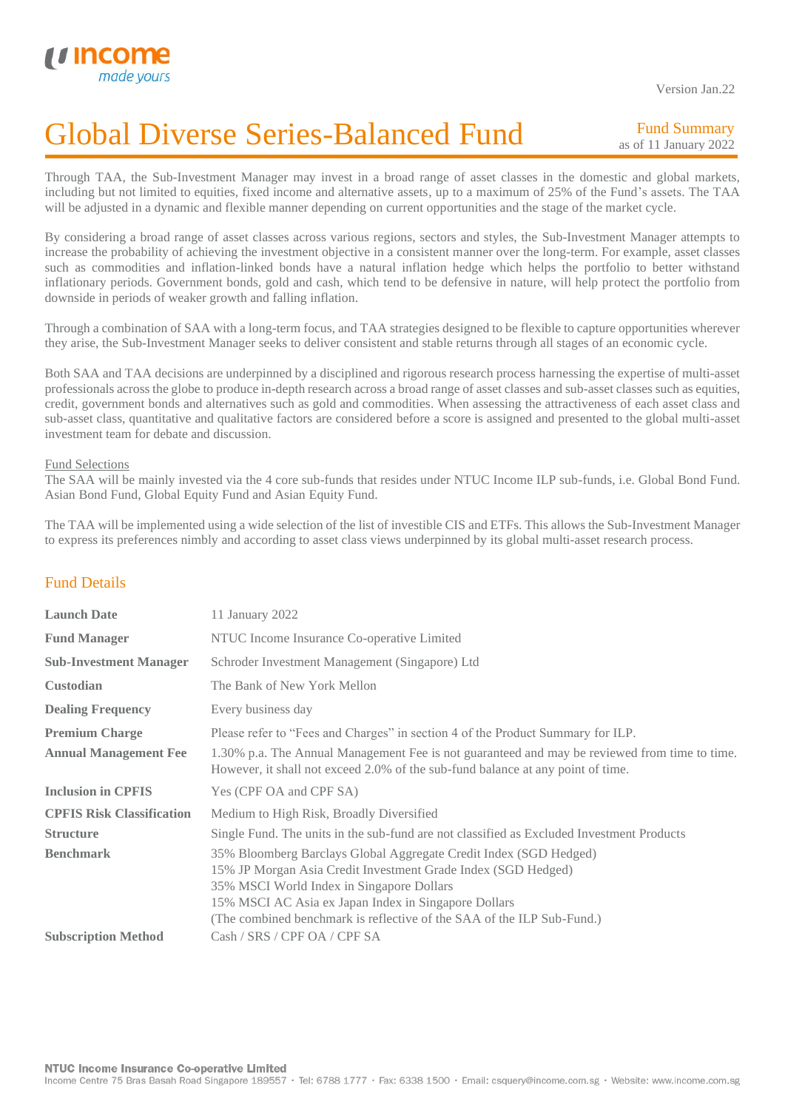

Version Jan.22

## Global Diverse Series-Balanced Fund

Fund Summary as of 11 January 2022

Through TAA, the Sub-Investment Manager may invest in a broad range of asset classes in the domestic and global markets, including but not limited to equities, fixed income and alternative assets, up to a maximum of 25% of the Fund's assets. The TAA will be adjusted in a dynamic and flexible manner depending on current opportunities and the stage of the market cycle.

By considering a broad range of asset classes across various regions, sectors and styles, the Sub-Investment Manager attempts to increase the probability of achieving the investment objective in a consistent manner over the long-term. For example, asset classes such as commodities and inflation-linked bonds have a natural inflation hedge which helps the portfolio to better withstand inflationary periods. Government bonds, gold and cash, which tend to be defensive in nature, will help protect the portfolio from downside in periods of weaker growth and falling inflation.

Through a combination of SAA with a long-term focus, and TAA strategies designed to be flexible to capture opportunities wherever they arise, the Sub-Investment Manager seeks to deliver consistent and stable returns through all stages of an economic cycle.

Both SAA and TAA decisions are underpinned by a disciplined and rigorous research process harnessing the expertise of multi-asset professionals across the globe to produce in-depth research across a broad range of asset classes and sub-asset classes such as equities, credit, government bonds and alternatives such as gold and commodities. When assessing the attractiveness of each asset class and sub-asset class, quantitative and qualitative factors are considered before a score is assigned and presented to the global multi-asset investment team for debate and discussion.

#### Fund Selections

The SAA will be mainly invested via the 4 core sub-funds that resides under NTUC Income ILP sub-funds, i.e. Global Bond Fund. Asian Bond Fund, Global Equity Fund and Asian Equity Fund.

The TAA will be implemented using a wide selection of the list of investible CIS and ETFs. This allows the Sub-Investment Manager to express its preferences nimbly and according to asset class views underpinned by its global multi-asset research process.

## Fund Details

| <b>Launch Date</b>               | 11 January 2022                                                                                                                                                                                                                                                                                                   |
|----------------------------------|-------------------------------------------------------------------------------------------------------------------------------------------------------------------------------------------------------------------------------------------------------------------------------------------------------------------|
| <b>Fund Manager</b>              | NTUC Income Insurance Co-operative Limited                                                                                                                                                                                                                                                                        |
| <b>Sub-Investment Manager</b>    | Schroder Investment Management (Singapore) Ltd                                                                                                                                                                                                                                                                    |
| <b>Custodian</b>                 | The Bank of New York Mellon                                                                                                                                                                                                                                                                                       |
| <b>Dealing Frequency</b>         | Every business day                                                                                                                                                                                                                                                                                                |
| <b>Premium Charge</b>            | Please refer to "Fees and Charges" in section 4 of the Product Summary for ILP.                                                                                                                                                                                                                                   |
| <b>Annual Management Fee</b>     | 1.30% p.a. The Annual Management Fee is not guaranteed and may be reviewed from time to time.<br>However, it shall not exceed 2.0% of the sub-fund balance at any point of time.                                                                                                                                  |
| <b>Inclusion in CPFIS</b>        | Yes (CPF OA and CPF SA)                                                                                                                                                                                                                                                                                           |
| <b>CPFIS Risk Classification</b> | Medium to High Risk, Broadly Diversified                                                                                                                                                                                                                                                                          |
| <b>Structure</b>                 | Single Fund. The units in the sub-fund are not classified as Excluded Investment Products                                                                                                                                                                                                                         |
| <b>Benchmark</b>                 | 35% Bloomberg Barclays Global Aggregate Credit Index (SGD Hedged)<br>15% JP Morgan Asia Credit Investment Grade Index (SGD Hedged)<br>35% MSCI World Index in Singapore Dollars<br>15% MSCI AC Asia ex Japan Index in Singapore Dollars<br>(The combined benchmark is reflective of the SAA of the ILP Sub-Fund.) |
| <b>Subscription Method</b>       | Cash / SRS / CPF OA / CPF SA                                                                                                                                                                                                                                                                                      |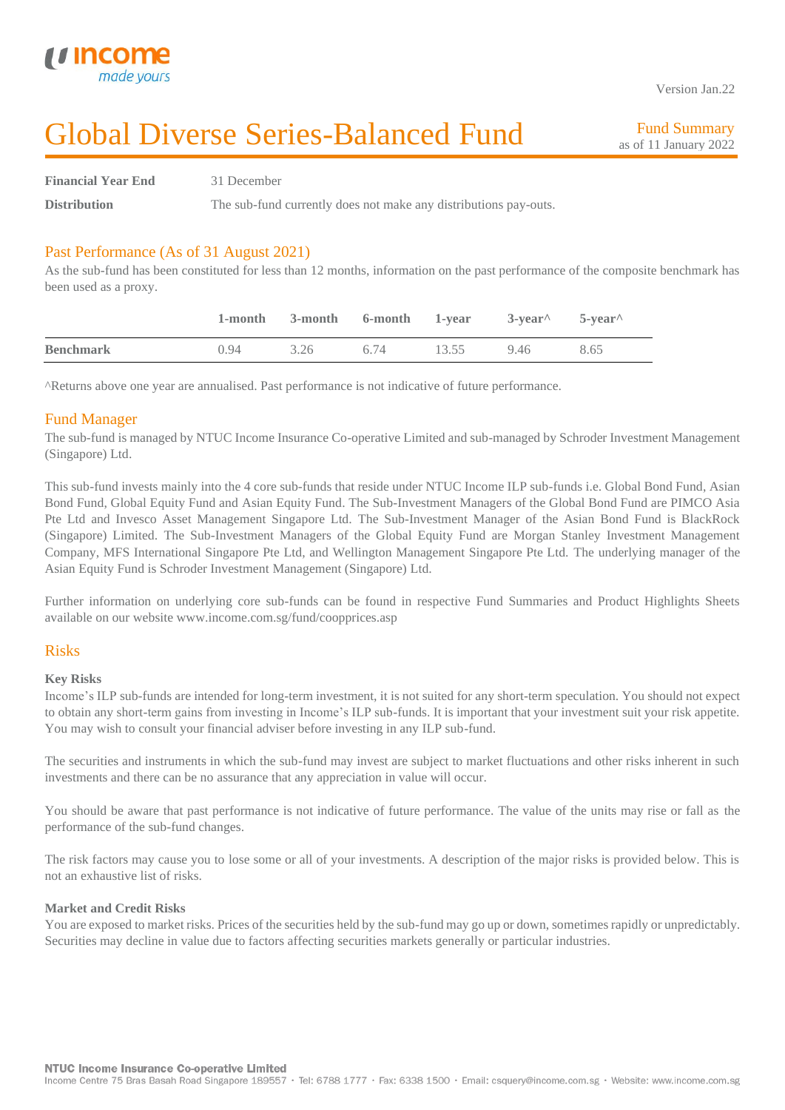

Version Jan.22

## Global Diverse Series-Balanced Fund

Fund Summary as of 11 January 2022

**Financial Year End** 31 December

**Distribution** The sub-fund currently does not make any distributions pay-outs.

## Past Performance (As of 31 August 2021)

As the sub-fund has been constituted for less than 12 months, information on the past performance of the composite benchmark has been used as a proxy.

|                  |      | 1-month 3-month 6-month 1-year 3-year 5-year |      |       |      |      |
|------------------|------|----------------------------------------------|------|-------|------|------|
| <b>Benchmark</b> | 0.94 | 3.26                                         | 6.74 | 13.55 | 9.46 | 8.65 |

^Returns above one year are annualised. Past performance is not indicative of future performance.

### Fund Manager

The sub-fund is managed by NTUC Income Insurance Co-operative Limited and sub-managed by Schroder Investment Management (Singapore) Ltd.

This sub-fund invests mainly into the 4 core sub-funds that reside under NTUC Income ILP sub-funds i.e. Global Bond Fund, Asian Bond Fund, Global Equity Fund and Asian Equity Fund. The Sub-Investment Managers of the Global Bond Fund are PIMCO Asia Pte Ltd and Invesco Asset Management Singapore Ltd. The Sub-Investment Manager of the Asian Bond Fund is BlackRock (Singapore) Limited. The Sub-Investment Managers of the Global Equity Fund are Morgan Stanley Investment Management Company, MFS International Singapore Pte Ltd, and Wellington Management Singapore Pte Ltd. The underlying manager of the Asian Equity Fund is Schroder Investment Management (Singapore) Ltd.

Further information on underlying core sub-funds can be found in respective Fund Summaries and Product Highlights Sheets available on our website www.income.com.sg/fund/coopprices.asp

### Risks

#### **Key Risks**

Income's ILP sub-funds are intended for long-term investment, it is not suited for any short-term speculation. You should not expect to obtain any short-term gains from investing in Income's ILP sub-funds. It is important that your investment suit your risk appetite. You may wish to consult your financial adviser before investing in any ILP sub-fund.

The securities and instruments in which the sub-fund may invest are subject to market fluctuations and other risks inherent in such investments and there can be no assurance that any appreciation in value will occur.

You should be aware that past performance is not indicative of future performance. The value of the units may rise or fall as the performance of the sub-fund changes.

The risk factors may cause you to lose some or all of your investments. A description of the major risks is provided below. This is not an exhaustive list of risks.

#### **Market and Credit Risks**

You are exposed to market risks. Prices of the securities held by the sub-fund may go up or down, sometimes rapidly or unpredictably. Securities may decline in value due to factors affecting securities markets generally or particular industries.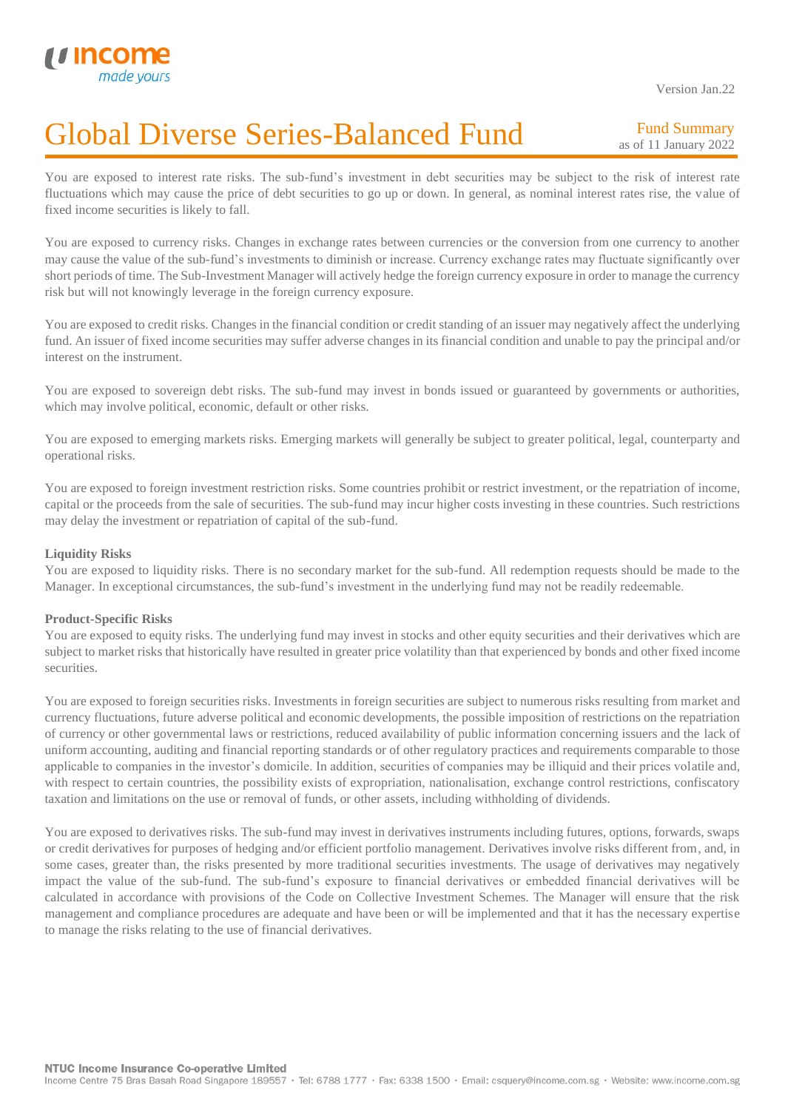Version Jan.22

# Global Diverse Series-Balanced Fund

Fund Summary as of 11 January 2022

You are exposed to interest rate risks. The sub-fund's investment in debt securities may be subject to the risk of interest rate fluctuations which may cause the price of debt securities to go up or down. In general, as nominal interest rates rise, the value of fixed income securities is likely to fall.

You are exposed to currency risks. Changes in exchange rates between currencies or the conversion from one currency to another may cause the value of the sub-fund's investments to diminish or increase. Currency exchange rates may fluctuate significantly over short periods of time. The Sub-Investment Manager will actively hedge the foreign currency exposure in order to manage the currency risk but will not knowingly leverage in the foreign currency exposure.

You are exposed to credit risks. Changes in the financial condition or credit standing of an issuer may negatively affect the underlying fund. An issuer of fixed income securities may suffer adverse changes in its financial condition and unable to pay the principal and/or interest on the instrument.

You are exposed to sovereign debt risks. The sub-fund may invest in bonds issued or guaranteed by governments or authorities, which may involve political, economic, default or other risks.

You are exposed to emerging markets risks. Emerging markets will generally be subject to greater political, legal, counterparty and operational risks.

You are exposed to foreign investment restriction risks. Some countries prohibit or restrict investment, or the repatriation of income, capital or the proceeds from the sale of securities. The sub-fund may incur higher costs investing in these countries. Such restrictions may delay the investment or repatriation of capital of the sub-fund.

#### **Liquidity Risks**

I

You are exposed to liquidity risks. There is no secondary market for the sub-fund. All redemption requests should be made to the Manager. In exceptional circumstances, the sub-fund's investment in the underlying fund may not be readily redeemable.

#### **Product-Specific Risks**

You are exposed to equity risks. The underlying fund may invest in stocks and other equity securities and their derivatives which are subject to market risks that historically have resulted in greater price volatility than that experienced by bonds and other fixed income securities.

You are exposed to foreign securities risks. Investments in foreign securities are subject to numerous risks resulting from market and currency fluctuations, future adverse political and economic developments, the possible imposition of restrictions on the repatriation of currency or other governmental laws or restrictions, reduced availability of public information concerning issuers and the lack of uniform accounting, auditing and financial reporting standards or of other regulatory practices and requirements comparable to those applicable to companies in the investor's domicile. In addition, securities of companies may be illiquid and their prices volatile and, with respect to certain countries, the possibility exists of expropriation, nationalisation, exchange control restrictions, confiscatory taxation and limitations on the use or removal of funds, or other assets, including withholding of dividends.

You are exposed to derivatives risks. The sub-fund may invest in derivatives instruments including futures, options, forwards, swaps or credit derivatives for purposes of hedging and/or efficient portfolio management. Derivatives involve risks different from, and, in some cases, greater than, the risks presented by more traditional securities investments. The usage of derivatives may negatively impact the value of the sub-fund. The sub-fund's exposure to financial derivatives or embedded financial derivatives will be calculated in accordance with provisions of the Code on Collective Investment Schemes. The Manager will ensure that the risk management and compliance procedures are adequate and have been or will be implemented and that it has the necessary expertise to manage the risks relating to the use of financial derivatives.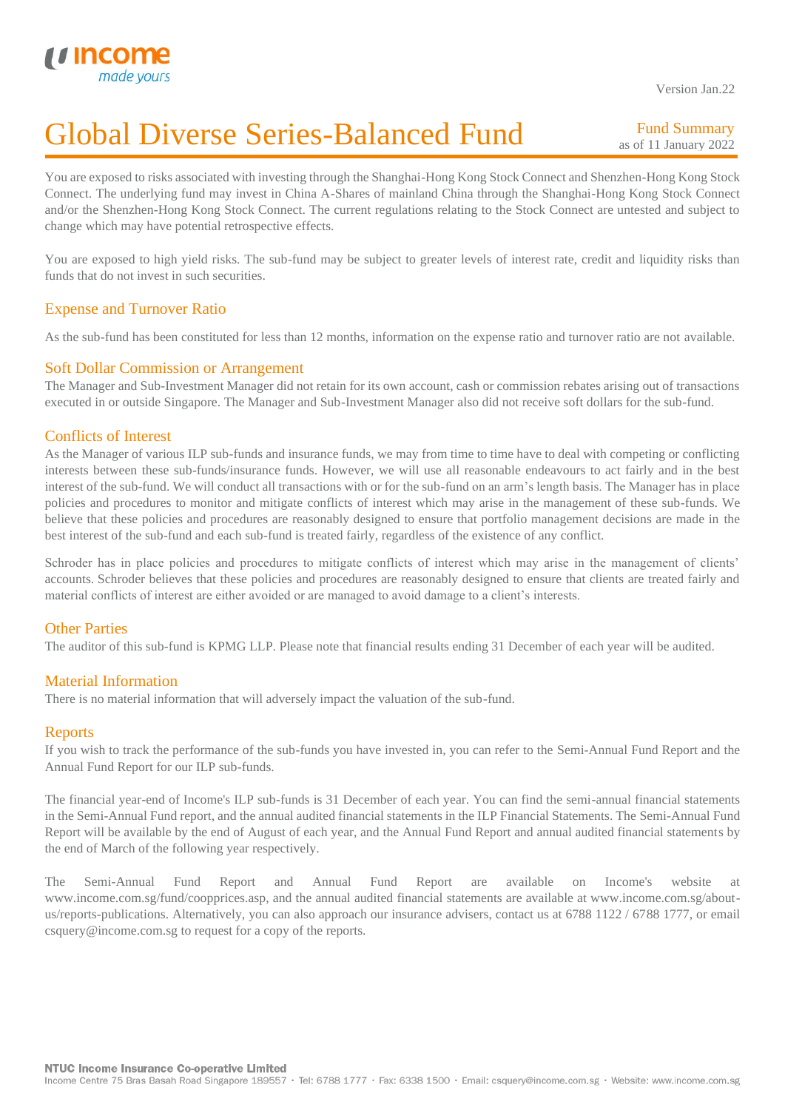

Version Jan.22

## Global Diverse Series-Balanced Fund

Fund Summary as of 11 January 2022

You are exposed to risks associated with investing through the Shanghai-Hong Kong Stock Connect and Shenzhen-Hong Kong Stock Connect. The underlying fund may invest in China A-Shares of mainland China through the Shanghai-Hong Kong Stock Connect and/or the Shenzhen-Hong Kong Stock Connect. The current regulations relating to the Stock Connect are untested and subject to change which may have potential retrospective effects.

You are exposed to high yield risks. The sub-fund may be subject to greater levels of interest rate, credit and liquidity risks than funds that do not invest in such securities.

## Expense and Turnover Ratio

As the sub-fund has been constituted for less than 12 months, information on the expense ratio and turnover ratio are not available.

### Soft Dollar Commission or Arrangement

The Manager and Sub-Investment Manager did not retain for its own account, cash or commission rebates arising out of transactions executed in or outside Singapore. The Manager and Sub-Investment Manager also did not receive soft dollars for the sub-fund.

### Conflicts of Interest

As the Manager of various ILP sub-funds and insurance funds, we may from time to time have to deal with competing or conflicting interests between these sub-funds/insurance funds. However, we will use all reasonable endeavours to act fairly and in the best interest of the sub-fund. We will conduct all transactions with or for the sub-fund on an arm's length basis. The Manager has in place policies and procedures to monitor and mitigate conflicts of interest which may arise in the management of these sub-funds. We believe that these policies and procedures are reasonably designed to ensure that portfolio management decisions are made in the best interest of the sub-fund and each sub-fund is treated fairly, regardless of the existence of any conflict.

Schroder has in place policies and procedures to mitigate conflicts of interest which may arise in the management of clients' accounts. Schroder believes that these policies and procedures are reasonably designed to ensure that clients are treated fairly and material conflicts of interest are either avoided or are managed to avoid damage to a client's interests.

## Other Parties

The auditor of this sub-fund is KPMG LLP. Please note that financial results ending 31 December of each year will be audited.

## Material Information

There is no material information that will adversely impact the valuation of the sub-fund.

## **Reports**

If you wish to track the performance of the sub-funds you have invested in, you can refer to the Semi-Annual Fund Report and the Annual Fund Report for our ILP sub-funds.

The financial year-end of Income's ILP sub-funds is 31 December of each year. You can find the semi-annual financial statements in the Semi-Annual Fund report, and the annual audited financial statements in the ILP Financial Statements. The Semi-Annual Fund Report will be available by the end of August of each year, and the Annual Fund Report and annual audited financial statements by the end of March of the following year respectively.

The Semi-Annual Fund Report and Annual Fund Report are available on Income's website at www.income.com.sg/fund/coopprices.asp, and the annual audited financial statements are available at www.income.com.sg/aboutus/reports-publications. Alternatively, you can also approach our insurance advisers, contact us at 6788 1122 / 6788 1777, or email csquery@income.com.sg to request for a copy of the reports.